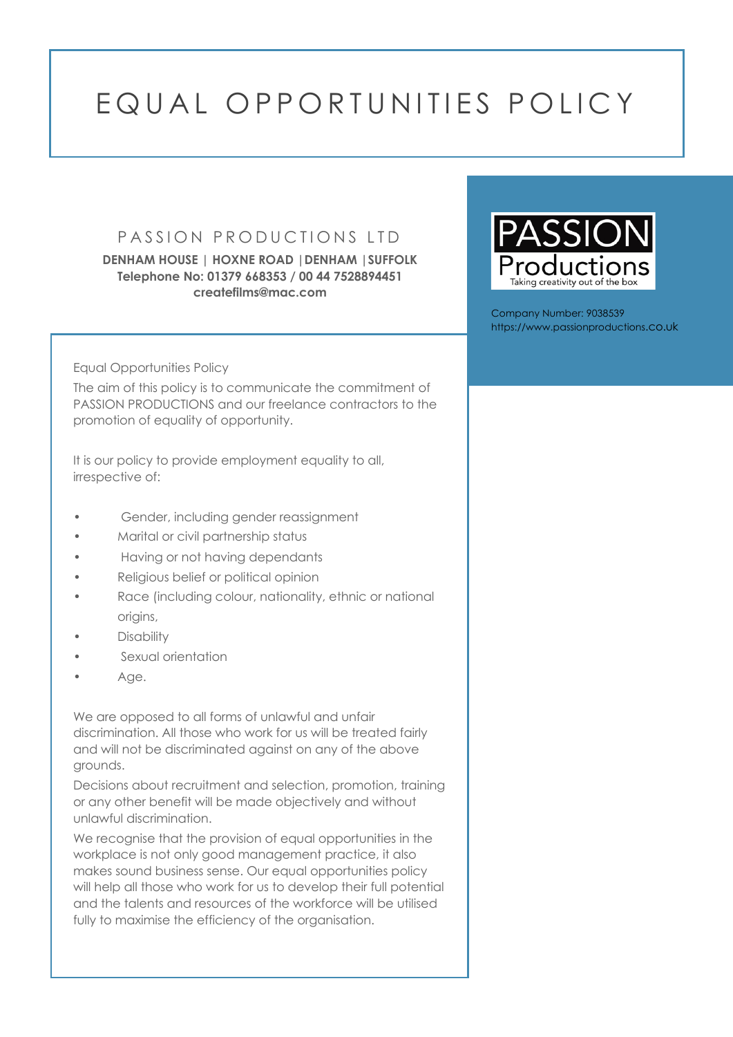## EQUAL OPPORTUNITIES POLICY

## PASSION PRODUCTIONS LTD

**DENHAM HOUSE | HOXNE ROAD |DENHAM |SUFFOLK Telephone No: 01379 668353 / 00 44 7528894451 createfilms@mac.com**

Equal Opportunities Policy

The aim of this policy is to communicate the commitment of PASSION PRODUCTIONS and our freelance contractors to the promotion of equality of opportunity.

It is our policy to provide employment equality to all, irrespective of:

- Gender, including gender reassignment
- Marital or civil partnership status
- Having or not having dependants
- Religious belief or political opinion
- Race (including colour, nationality, ethnic or national origins,
- **Disability**
- Sexual orientation
- Age.

We are opposed to all forms of unlawful and unfair discrimination. All those who work for us will be treated fairly and will not be discriminated against on any of the above grounds.

Decisions about recruitment and selection, promotion, training or any other benefit will be made objectively and without unlawful discrimination.

We recognise that the provision of equal opportunities in the workplace is not only good management practice, it also makes sound business sense. Our equal opportunities policy will help all those who work for us to develop their full potential and the talents and resources of the workforce will be utilised fully to maximise the efficiency of the organisation.



Company Number: 9038539 https://www.passionproductions.co.uk